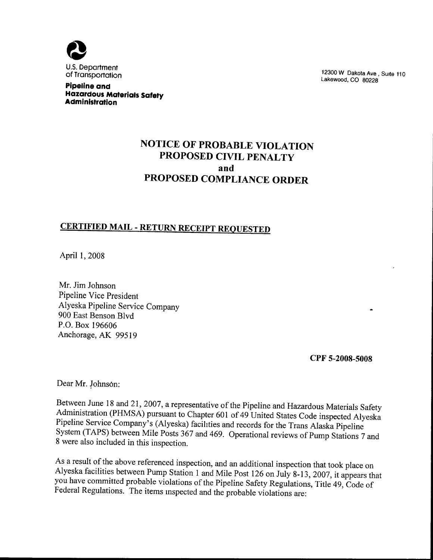

Pipeline and Hazardous Materials Safety Administration

12300 W Dakota Ave, Suite 110 Lakewood, CO 80228

# NOTICE OF PROBABLE VIOLATION PROPOSED CIVIL PENALTY and PROPOSED COMPLIANCE ORDER

# CERTIFIED MAIL - RETURN RECEIPT REQUESTED

April 1, 2008

Mr, Jim Johnson Pipeline Vice President Alyeska Pipeline Service Company 900 East Benson Blvd P.O. Box 196606 Anchorage, AK 99519

CPF 5-2008-500S

Dear Mr. Johnson:

Between June 18 and 21, 2007, a representative of the Pipeline and Hazardous Materials Safety Administration (PHMSA) pursuant to Chapter 601 of 49 United States Code inspected Alyeska Pipeline Service Company's (Alyeska) facihties and records for the Trans Alaska Pipeline System (TAPS) between Mile Posts 367 and 469. Operational reviews of Pump Stations 7 and 8 were also included in this inspection.

As a result of the above referenced inspection, and an additional inspection that took place on Alyeska facilities between Pump Station 1 and Mile Post 126 on July 8-13, 2007, it appears that you have committed probable violations of the Pipeline Safety Regulations, Title 49, Code of Federal Regulations. The items mspected and the probable violations are: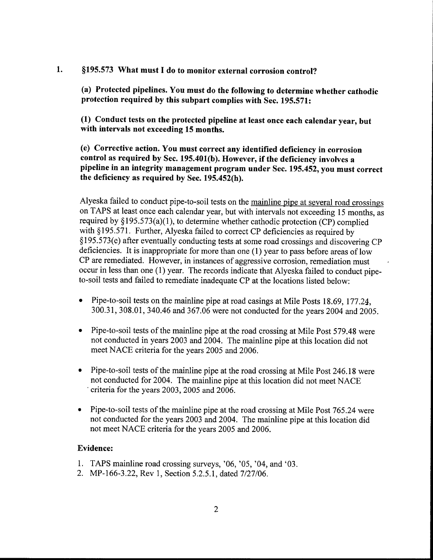1. §195.573 What must I do to monitor external corrosion control?

(a) Protected pipelines. You must do the following to determine whether cathodic protection required by this subpart complies with Sec. 195.571:

(1) Conduct tests on the protected pipeline at least once each calendar year, but with intervals not exceeding 15 months.

(e) Corrective action. You must correct any identified deficiency in corrosion control as required by Sec. 195.401(b). However, if the deficiency involves a pipeline in an integrity management program under Sec. 195. 452, you must correct the deficiency as required by Sec. 195.452(h).

Alyeska failed to conduct pipe-to-soil tests on the mainline pipe at several road crossings on TAPS at least once each calendar year, but with intervals not exceeding 15 months, as required by  $§195.573(a)(1)$ , to determine whether cathodic protection (CP) complied with §195.571. Further, Alyeska failed to correct CP deficiencies as required by  $§195.573(e)$  after eventually conducting tests at some road crossings and discovering CP deficiencies. It is inappropriate for more than one (1) year to pass before areas of low CP are remediated. However, in instances of aggressive corrosion, remediation must occur in less than one (1) year. The records indicate that Alyeska failed to conduct pipeto-soil tests and failed to remediate inadequate CP at the locations listed below:

- Pipe-to-soil tests on the mainline pipe at road casings at Mile Posts 18.69, 177.24, 300. 31, 308. 01, 340. 46 and 367. 06 were not conducted for the years 2004 and 2005.
- Pipe-to-soil tests of the mainline pipe at the road crossing at Mile Post 579.48 were not conducted in years 2003 and 2004. The mainline pipe at this location did not meet NACE criteria for the years 2005 and 2006.
- Pipe-to-soil tests of the mainline pipe at the road crossing at Mile Post 246.18 were not conducted for 2004. The mainline pipe at this location did not meet NACE ' criteria for the years 2003, 2005 and 2006,
- Pipe-to-soil tests of the mainline pipe at the road crossing at Mile Post 765.24 were not conducted for the years 2003 and 2004. The mainline pipe at this location did not meet NACE criteria for the years 2005 and 2006.

# Evidence:

- 1. TAPS mainline road crossing surveys, '06, '05, '04, and '03.
- 2. MP-166-3.22, Rev 1, Section 5.2.5.1, dated 7/27/06.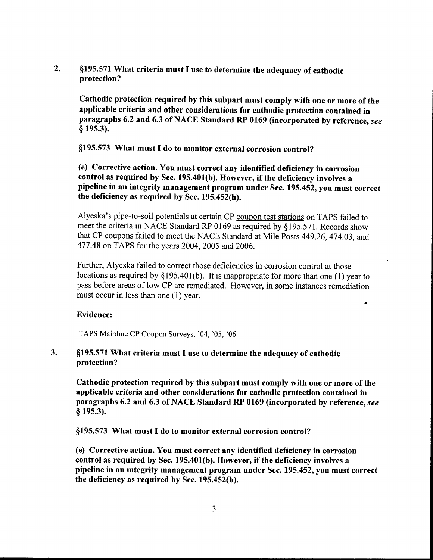2. §195.571 What criteria must I use to determine the adequacy of cathodic protection?

Cathodic protection required by this subpart must comply with one or more of the applicable criteria and other considerations for cathodic protection contained in paragraphs 6.2 and 6.3 of NACE Standard RP 0169 (incorporated by reference, see § 195.3).

§195.573 What must I do to monitor external corrosion control?

(e) Corrective action. You must correct any identified deficiency in corrosion control as required by Sec. 195.401(b). However, if the deficiency involves a pipeline in an integrity management program under Sec. 195.452, you must correct the deficiency as required by Sec. 195.452(h).

Alyeska's pipe-to-soil potentials at certain CP coupon test stations on TAPS failed to meet the criteria in NACE Standard RP 0169 as required by \$195. 571. Records show that CP coupons failed to meet the NACE Standard at Mile Posts 449. 26, 474. 03, and 477. 48 on TAPS for the years 2004, 2005 and 2006.

Further, Alyeska failed to correct those deficiencies in corrosion control at those locations as required by §195.401(b). It is inappropriate for more than one (1) year to pass before areas of low CP are remediated. However, in some instances remediation must occur in less than one (1) year.

# Evidence:

TAPS Mainline CP Coupon Surveys, '04, '05, '06.

 $3.$ \$195. 571 What criteria must I use to determine the adequacy of cathodic protection?

Cathodik protection required by this subpart must comply with one or more of the applicable criteria and other considerations for cathodic protection contained in paragraphs 6.2 and 6.3 of NACE Standard RP 0169 (incorporated by reference, see  $§$  195.3).

\$195. 573 What must I do to monitor external corrosion control?

(e) Corrective action. You must correct any identified deficiency in corrosion control as required by Sec. 195. 401(b). However, if the deficiency involves a pipeline in an integrity management program under Sec. 195. 452, you must correct the deficiency as required by Sec. 195.452(h).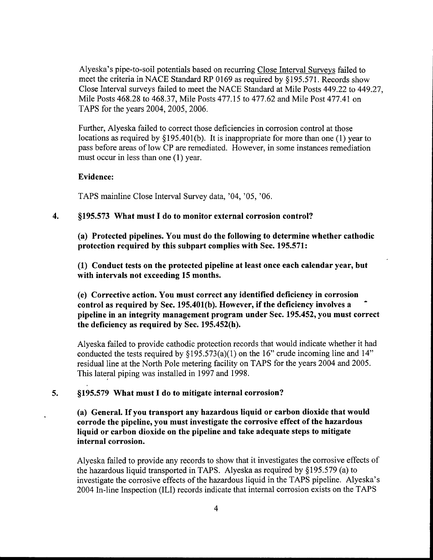Alyeska's pipe-to-soil potentials based on recurring Close Interval Surveys failed to meet the criteria in NACE Standard RP 0169 as required by §195.571. Records show Close Interval surveys failed to meet the NACE Standard at Mile Posts 449. 22 to 449. 27, Mile Posts 468. 28 to 468. 37, Mile Posts 477. 15 to 477. 62 and Mile Post 477. 41 on TAPS for the years 2004, 2005, 2006.

Further, Alyeska failed to correct those deficiencies in corrosion control at those locations as required by §195.401(b). It is inappropriate for more than one (1) year to pass before areas of low CP are remediated. However, in some instances remediation must occur in less than one (1) year.

#### Evidence:

TAPS mainline Close Interval Survey data, '04, '05, '06.

#### $\overline{4}$ . \$195. 573 What must I do to monitor external corrosion control?

(a) Protected pipelines. You must do the following to determine whether cathodic protection required by this subpart complies with Sec. 195.571:

(1) Conduct tests on the protected pipeline at least once each calendar year, but with intervals not exceeding 15 months.

(e) Corrective action. You must correct any identified deficiency in corrosion control as required by Sec. 195, 401(b). However, if the deficiency involves a pipeline in an integrity management program under Sec. 195. 452, you must correct the deficiency as required by Sec. 195.452(h).

Alyeska failed to provide cathodic protection records that would indicate whether it had conducted the tests required by  $\S195.573(a)(1)$  on the 16" crude incoming line and 14" residual line at the North Pole metering facility on TAPS for the years 2004 and 2005. This lateral piping was installed in 1997 and 1998.

#### 5. \$195. 579 What must I do to mitigate internal corrosion?

(a) General. If you transport any hazardous liquid or carbon dioxide that would corrode the pipeline, you must investigate the corrosive effect of the hazardous liquid or carbon dioxide on the pipeline and take adequate steps to mitigate internal corrosion.

Alyeska failed to provide any records to show that it investigates the corrosive effects of the hazardous liquid transported in TAPS. Alyeska as required by §195.579 (a) to investigate the corrosive effects of the hazardous liquid in the TAPS pipeline. Alyeska's 2004 In-line Inspection (ILI) records indicate that internal corrosion exists on the TAPS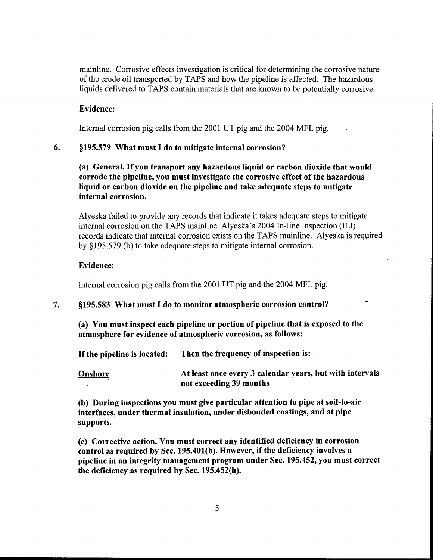mainline. Corrosive effects investigation is critical for determining the corrosive nature of the crude oil transported by TAPS and how the pipeline is affected. The hazardous liquids delivered to TAPS contain materials that are known to be potentially corrosive.

## Evidence:

Internal corrosion pig calls from the 2001 UT pig and the 2004 MFL pig.

### 6. \$195. 579 What must I do to mitigate internal corrosion?

## (a) General. If you transport any hazardous liquid or carbon dioxide that would corrode the pipeline, you must investigate the corrosive effect of the hazardous liquid or carbon dioxide on the pipeline and take adequate steps to mitigate internal corrosion.

Alyeska failed to provide any records that indicate it takes adequate steps to mitigate internal corrosion on the TAPS mainline, Alyeska's 2004 In-line Inspection (ILI) records indicate that internal corrosion exists on the TAPS mainline. Alyeska is required by \$195. 579 (b) to take adequate steps to mitigate internal corrosion.

#### Evidence:

Internal corrosion pig calls from the 2001 UT pig and the 2004 MFL pig.

### 7. \$195. 583 What must I do to monitor atmospheric corrosion control?

(a) You must inspect each pipeline or portion of pipeline that is exposed to the atmosphere for evidence of atmospheric corrosion, as follows:

If the pipeline is located: Then the frequency of inspection is:

Onshore **At least once every 3 calendar years, but with intervals** not exceeding 39 months

(b) During inspections you must give particular attention to pipe at soil-to-air interfaces, under thermal insulation, under disbonded coatings, and at pipe supports.

(e) Corrective action. You must correct any identified deficiency in corrosion control as required by Sec. 195. 401(b). However, if the deficiency involves a pipeline in an integrity management program under Sec. 195. 452, you must correct the deficiency as required by Sec.  $195.452(h)$ .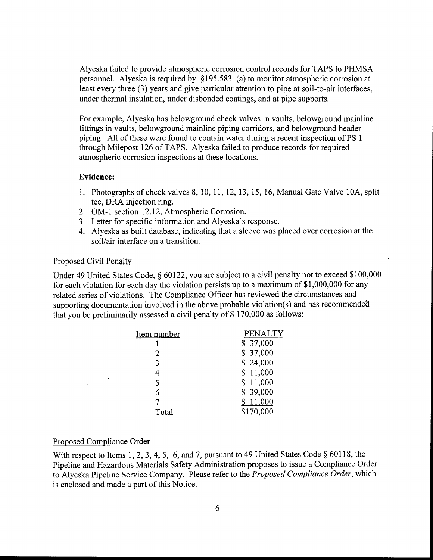Alyeska failed to provide atmospheric corrosion control records for TAPS to PHMSA personnel. Alyeska is required by \$195. 583 (a) to monitor atmospheric corrosion at least every three (3) years and give particular attention to pipe at soil-to-air interfaces, under thermal insulation, under disbonded coatings, and at pipe supports.

For example, Alyeska has belowground check valves in vaults, belowground mainline fittings in vaults, belowground mainline piping corridors, and belowground header piping. All of these were found to contain water during a recent inspection of PS <sup>1</sup> through Milepost 126 of TAPS, Alyeska failed to produce records for required atmospheric corrosion inspections at these locations.

#### Evidence:

- 1. Photographs of check valves 8, 10, 11, 12, 13, 15, 16, Manual Gate Valve 10A, split tee, DRA injection ring.
- 2. OM-1 section 12.12, Atmospheric Corrosion.
- 3. Letter for specific information and Alyeska's response.
- 4. Alyeska as built database, indicating that a sleeve was placed over corrosion at the soil/air interface on a transition.

#### Proposed Civil Penalty

Under 49 United States Code, § 60122, you are subject to a civil penalty not to exceed \$100,000 for each violation for each day the violation persists up to a maximum of \$1, 000, 000 for any related series of violations. The Compliance Officer has reviewed the circumstances and supporting documentation involved in the above probable violation(s) and has recommended that you be preliminarily assessed a civil penalty of \$170,000 as follows:

| Item number | <b>PENALTY</b> |
|-------------|----------------|
|             | \$37,000       |
| 2           | \$37,000       |
| 3           | \$24,000       |
| 4           | \$11,000       |
| 5           | \$11,000       |
| 6           | \$39,000       |
|             | \$11,000       |
| Total       | \$170,000      |
|             |                |

#### Proposed Compliance Order

With respect to Items 1, 2, 3, 4, 5, 6, and 7, pursuant to 49 United States Code  $\S$  60118, the Pipeline and Hazardous Materials Safety Administration proposes to issue a Compliance Order to Alyeska Pipeline Service Company. Please refer to the Proposed Compliance Order, which is enclosed and made a part of this Notice.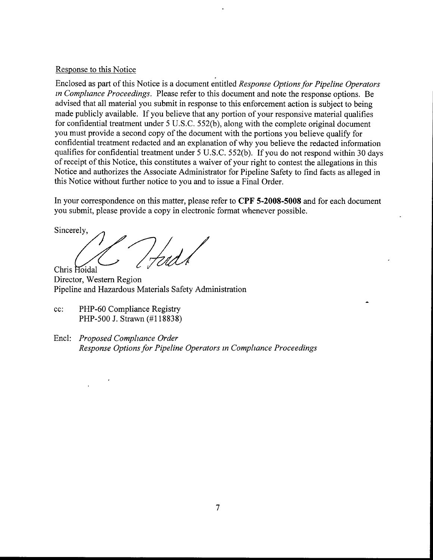### Response to this Notice

Enclosed as part of this Notice is a document entitled Response Options for Pipeline Operators in Compliance Proceedings. Please refer to this document and note the response options. Be advised that all material you submit in response to this enforcement action is subject to being made publicly available. If you believe that any portion of your responsive material qualifies for confidential treatment under 5 U.S.C. 552(b), along with the complete original document you must provide a second copy of the document with the portions you believe qualify for confidential treatment redacted and an explanation of why you believe the redacted information qualifies for confidential treatment under 5 U.S.C. 552(b). If you do not respond within 30 days of receipt of this Notice, this constitutes a waiver of your right to contest the allegations in this Notice and authorizes the Associate Administrator for Pipeline Safety to find facts as alleged in this Notice without further notice to you and to issue a Final Order.

In your correspondence on this matter, please refer to CPF 5-2008-5008 and for each document you submit, please provide a copy in electronic format whenever possible,

Sincerely,

Chris Hoidal

Director, Western Region Pipeline and Hazardous Materials Safety Administration

- cc: PHP-60 Compliance Registry PHP-500 J. Strawn (#118838)
- Encl: Proposed Compliance Order Response Options for Pipeline Operators in Compliance Proceedings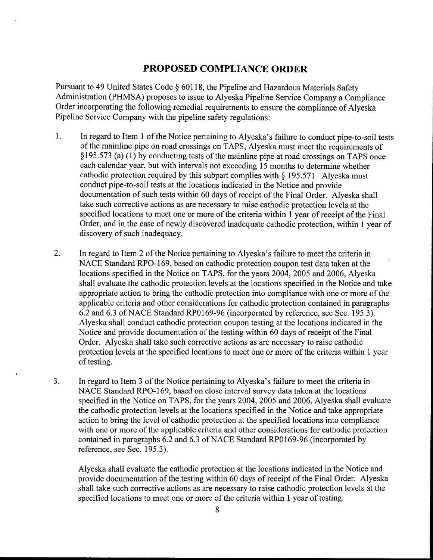# PROPOSED COMPLIANCE ORDER

Pursuant to 49 United States Code \$ 60118, the Pipeline and Hazardous Materials Safety Administration (PHMSA) proposes to issue to Alyeska Pipeline Service Company a Compliance Order incorporating the following remedial requirements to ensure the compliance of Alyeska Pipeline Service Company with the pipeline safety regulations:

- $1.$ In regard to Item 1 of the Notice pertaining to Alyeska's failure to conduct pipe-to-soil tests of the mainline pipe on road crossings on TAPS, Alyeska must meet the requirements of \$195. 573 (a) (1) by conducting tests of the mainline pipe at road crossings on TAPS once each calendar year, but with intervals not exceeding 15 months to determine whether cathodic protection required by this subpart complies with  $§$  195.571 Alyeska must conduct pipe-to-soil tests at the locations indicated in the Notice and provide documentation of such tests within 60 days of receipt of the Final Order. Alyeska shall take such corrective actions as are necessary to raise cathodic protection levels at the specified locations to meet one or more of the criteria within 1 year of receipt of the Final Order, and in the case of newly discovered inadequate cathodic protection, within 1 year of discovery of such inadequacy.
- 2. In regard to Item 2 of the Notice pertaining to Alyeska's failure to meet the criteria in NACE Standard RPO-169, based on cathodic protection coupon test data taken at the locations specified in the Notice on TAPS, for the years 2004, 2005 and 2006, Alyeska shall evaluate the cathodic protection levels at the locations specified in the Notice and take appropriate action to bring the cathodic protection into compliance with one or more of the applicable criteria and other considerations for cathodic protection contained in paragraphs 6.2 and 6.3 of NACE Standard RP0169-96 (incorporated by reference, see Sec. 195.3). Alyeska shall conduct cathodic protection coupon testing at the locations indicated in the Notice and provide documentation of the testing within 60 days of receipt of the Final Order. Alyeska shall take such corrective actions as are necessary to raise cathodic protection levels at the specified locations to meet one or more of the criteria within 1 year of testing.
- 3. In regard to Item 3 of the Notice pertaining to Alyeska's failure to meet the criteria in NACE Standard RPO-169, based on close interval survey data taken at the locations specified in the Notice on TAPS, for the years 2004, 2005 and 2006, Alyeska shall evaluate the cathodic protection levels at the locations specified in the Notice and take appropriate action to bring the level of cathodic protection at the specified locations into compliance with one or more of the applicable criteria and other considerations for cathodic protection contained in paragraphs 6.2 and 6.3 of NACE Standard RP0169-96 (incorporated by reference, see Sec. 195.3).

Alyeska shall evaluate the cathodic protection at the locations indicated in the Notice and provide documentation of the testing within 60 days of receipt of the Final Order. Alyeska shall take such corrective actions as are necessary to raise cathodic protection levels at the specified locations to meet one or more of the criteria within 1 year of testing.